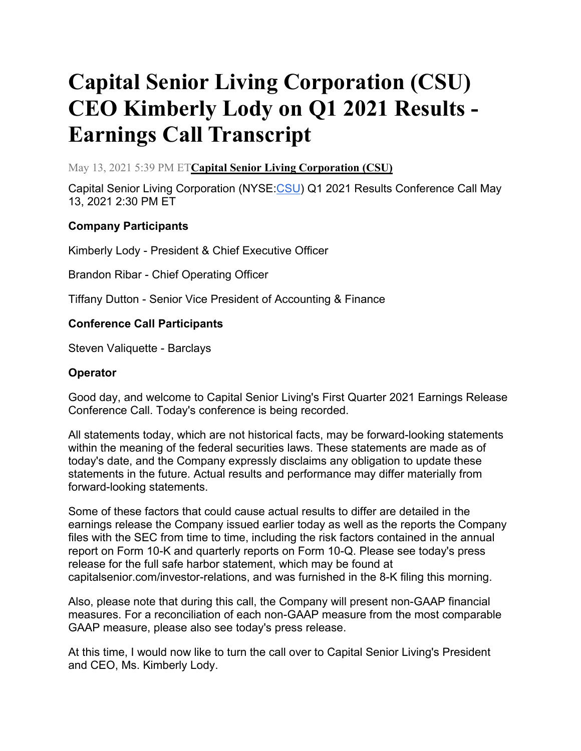# **Capital Senior Living Corporation (CSU) CEO Kimberly Lody on Q1 2021 Results - Earnings Call Transcript**

May 13, 2021 5:39 PM ET**[Capital Senior Living Corporation \(CSU\)](https://seekingalpha.com/symbol/CSU?source=content_type%3Areact%7Csection%3Amain_content%7Csection_asset%3Ameta%7Cfirst_level_url%3Aarticle%7Csymbol%3ACSU)**

Capital Senior Living Corporation (NYSE[:CSU\)](https://seekingalpha.com/symbol/CSU?source=content_type%3Areact%7Csection%3Amain_content%7Cbutton%3Abody_link) Q1 2021 Results Conference Call May 13, 2021 2:30 PM ET

# **Company Participants**

Kimberly Lody - President & Chief Executive Officer

Brandon Ribar - Chief Operating Officer

Tiffany Dutton - Senior Vice President of Accounting & Finance

## **Conference Call Participants**

Steven Valiquette - Barclays

## **Operator**

Good day, and welcome to Capital Senior Living's First Quarter 2021 Earnings Release Conference Call. Today's conference is being recorded.

All statements today, which are not historical facts, may be forward-looking statements within the meaning of the federal securities laws. These statements are made as of today's date, and the Company expressly disclaims any obligation to update these statements in the future. Actual results and performance may differ materially from forward-looking statements.

Some of these factors that could cause actual results to differ are detailed in the earnings release the Company issued earlier today as well as the reports the Company files with the SEC from time to time, including the risk factors contained in the annual report on Form 10-K and quarterly reports on Form 10-Q. Please see today's press release for the full safe harbor statement, which may be found at capitalsenior.com/investor-relations, and was furnished in the 8-K filing this morning.

Also, please note that during this call, the Company will present non-GAAP financial measures. For a reconciliation of each non-GAAP measure from the most comparable GAAP measure, please also see today's press release.

At this time, I would now like to turn the call over to Capital Senior Living's President and CEO, Ms. Kimberly Lody.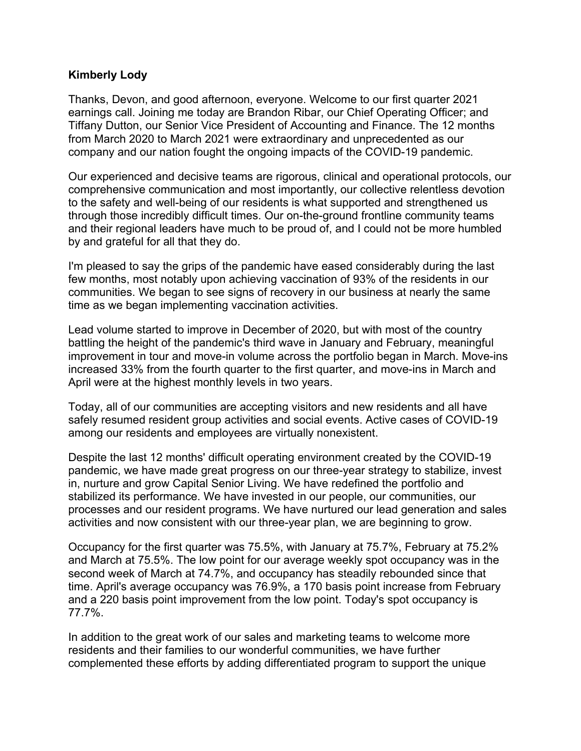## **Kimberly Lody**

Thanks, Devon, and good afternoon, everyone. Welcome to our first quarter 2021 earnings call. Joining me today are Brandon Ribar, our Chief Operating Officer; and Tiffany Dutton, our Senior Vice President of Accounting and Finance. The 12 months from March 2020 to March 2021 were extraordinary and unprecedented as our company and our nation fought the ongoing impacts of the COVID-19 pandemic.

Our experienced and decisive teams are rigorous, clinical and operational protocols, our comprehensive communication and most importantly, our collective relentless devotion to the safety and well-being of our residents is what supported and strengthened us through those incredibly difficult times. Our on-the-ground frontline community teams and their regional leaders have much to be proud of, and I could not be more humbled by and grateful for all that they do.

I'm pleased to say the grips of the pandemic have eased considerably during the last few months, most notably upon achieving vaccination of 93% of the residents in our communities. We began to see signs of recovery in our business at nearly the same time as we began implementing vaccination activities.

Lead volume started to improve in December of 2020, but with most of the country battling the height of the pandemic's third wave in January and February, meaningful improvement in tour and move-in volume across the portfolio began in March. Move-ins increased 33% from the fourth quarter to the first quarter, and move-ins in March and April were at the highest monthly levels in two years.

Today, all of our communities are accepting visitors and new residents and all have safely resumed resident group activities and social events. Active cases of COVID-19 among our residents and employees are virtually nonexistent.

Despite the last 12 months' difficult operating environment created by the COVID-19 pandemic, we have made great progress on our three-year strategy to stabilize, invest in, nurture and grow Capital Senior Living. We have redefined the portfolio and stabilized its performance. We have invested in our people, our communities, our processes and our resident programs. We have nurtured our lead generation and sales activities and now consistent with our three-year plan, we are beginning to grow.

Occupancy for the first quarter was 75.5%, with January at 75.7%, February at 75.2% and March at 75.5%. The low point for our average weekly spot occupancy was in the second week of March at 74.7%, and occupancy has steadily rebounded since that time. April's average occupancy was 76.9%, a 170 basis point increase from February and a 220 basis point improvement from the low point. Today's spot occupancy is 77.7%.

In addition to the great work of our sales and marketing teams to welcome more residents and their families to our wonderful communities, we have further complemented these efforts by adding differentiated program to support the unique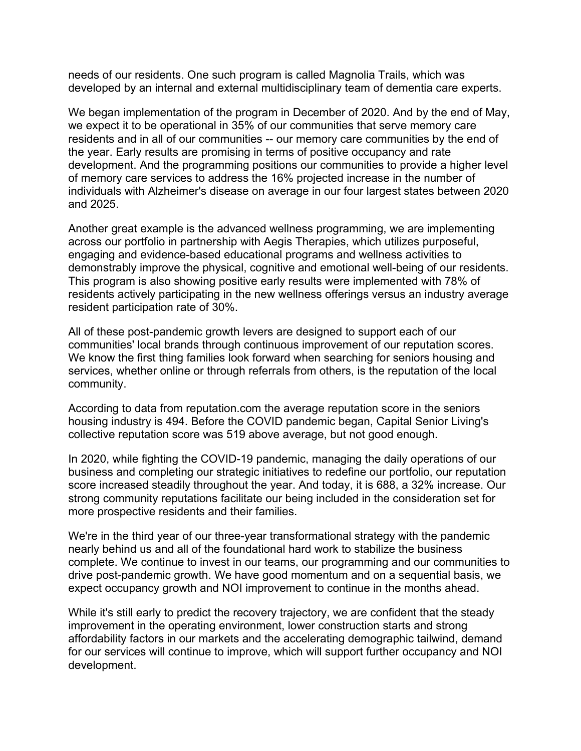needs of our residents. One such program is called Magnolia Trails, which was developed by an internal and external multidisciplinary team of dementia care experts.

We began implementation of the program in December of 2020. And by the end of May, we expect it to be operational in 35% of our communities that serve memory care residents and in all of our communities -- our memory care communities by the end of the year. Early results are promising in terms of positive occupancy and rate development. And the programming positions our communities to provide a higher level of memory care services to address the 16% projected increase in the number of individuals with Alzheimer's disease on average in our four largest states between 2020 and 2025.

Another great example is the advanced wellness programming, we are implementing across our portfolio in partnership with Aegis Therapies, which utilizes purposeful, engaging and evidence-based educational programs and wellness activities to demonstrably improve the physical, cognitive and emotional well-being of our residents. This program is also showing positive early results were implemented with 78% of residents actively participating in the new wellness offerings versus an industry average resident participation rate of 30%.

All of these post-pandemic growth levers are designed to support each of our communities' local brands through continuous improvement of our reputation scores. We know the first thing families look forward when searching for seniors housing and services, whether online or through referrals from others, is the reputation of the local community.

According to data from reputation.com the average reputation score in the seniors housing industry is 494. Before the COVID pandemic began, Capital Senior Living's collective reputation score was 519 above average, but not good enough.

In 2020, while fighting the COVID-19 pandemic, managing the daily operations of our business and completing our strategic initiatives to redefine our portfolio, our reputation score increased steadily throughout the year. And today, it is 688, a 32% increase. Our strong community reputations facilitate our being included in the consideration set for more prospective residents and their families.

We're in the third year of our three-year transformational strategy with the pandemic nearly behind us and all of the foundational hard work to stabilize the business complete. We continue to invest in our teams, our programming and our communities to drive post-pandemic growth. We have good momentum and on a sequential basis, we expect occupancy growth and NOI improvement to continue in the months ahead.

While it's still early to predict the recovery trajectory, we are confident that the steady improvement in the operating environment, lower construction starts and strong affordability factors in our markets and the accelerating demographic tailwind, demand for our services will continue to improve, which will support further occupancy and NOI development.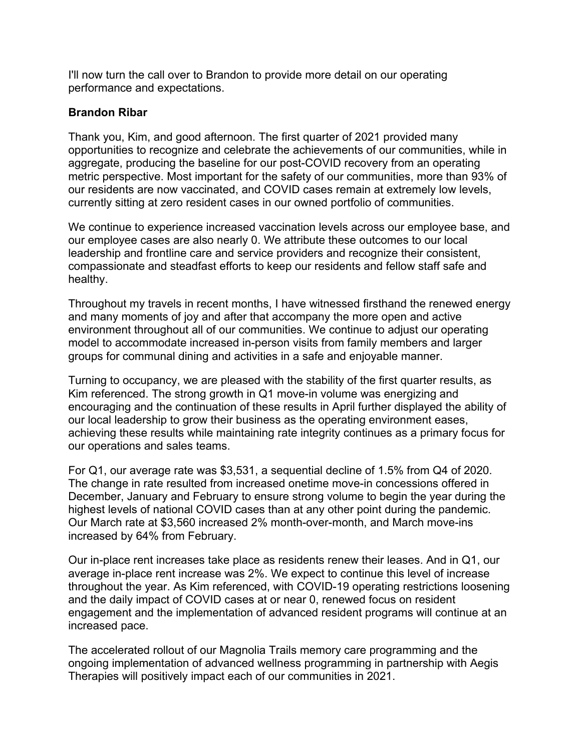I'll now turn the call over to Brandon to provide more detail on our operating performance and expectations.

## **Brandon Ribar**

Thank you, Kim, and good afternoon. The first quarter of 2021 provided many opportunities to recognize and celebrate the achievements of our communities, while in aggregate, producing the baseline for our post-COVID recovery from an operating metric perspective. Most important for the safety of our communities, more than 93% of our residents are now vaccinated, and COVID cases remain at extremely low levels, currently sitting at zero resident cases in our owned portfolio of communities.

We continue to experience increased vaccination levels across our employee base, and our employee cases are also nearly 0. We attribute these outcomes to our local leadership and frontline care and service providers and recognize their consistent, compassionate and steadfast efforts to keep our residents and fellow staff safe and healthy.

Throughout my travels in recent months, I have witnessed firsthand the renewed energy and many moments of joy and after that accompany the more open and active environment throughout all of our communities. We continue to adjust our operating model to accommodate increased in-person visits from family members and larger groups for communal dining and activities in a safe and enjoyable manner.

Turning to occupancy, we are pleased with the stability of the first quarter results, as Kim referenced. The strong growth in Q1 move-in volume was energizing and encouraging and the continuation of these results in April further displayed the ability of our local leadership to grow their business as the operating environment eases, achieving these results while maintaining rate integrity continues as a primary focus for our operations and sales teams.

For Q1, our average rate was \$3,531, a sequential decline of 1.5% from Q4 of 2020. The change in rate resulted from increased onetime move-in concessions offered in December, January and February to ensure strong volume to begin the year during the highest levels of national COVID cases than at any other point during the pandemic. Our March rate at \$3,560 increased 2% month-over-month, and March move-ins increased by 64% from February.

Our in-place rent increases take place as residents renew their leases. And in Q1, our average in-place rent increase was 2%. We expect to continue this level of increase throughout the year. As Kim referenced, with COVID-19 operating restrictions loosening and the daily impact of COVID cases at or near 0, renewed focus on resident engagement and the implementation of advanced resident programs will continue at an increased pace.

The accelerated rollout of our Magnolia Trails memory care programming and the ongoing implementation of advanced wellness programming in partnership with Aegis Therapies will positively impact each of our communities in 2021.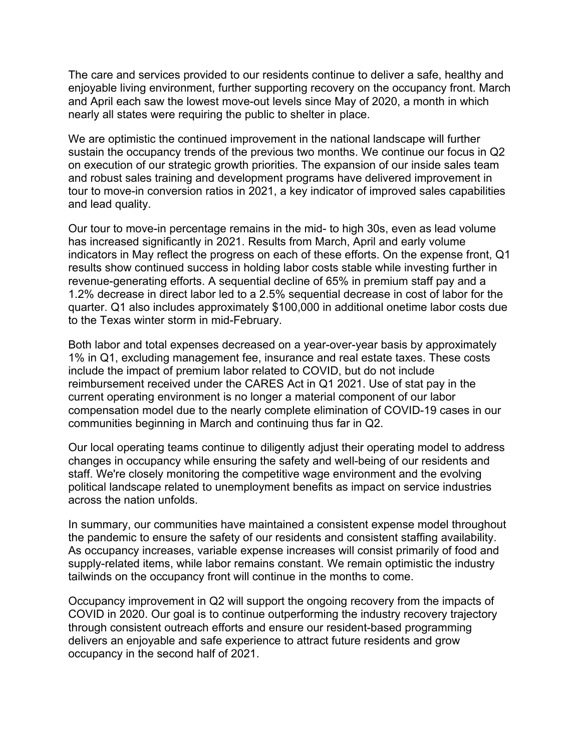The care and services provided to our residents continue to deliver a safe, healthy and enjoyable living environment, further supporting recovery on the occupancy front. March and April each saw the lowest move-out levels since May of 2020, a month in which nearly all states were requiring the public to shelter in place.

We are optimistic the continued improvement in the national landscape will further sustain the occupancy trends of the previous two months. We continue our focus in Q2 on execution of our strategic growth priorities. The expansion of our inside sales team and robust sales training and development programs have delivered improvement in tour to move-in conversion ratios in 2021, a key indicator of improved sales capabilities and lead quality.

Our tour to move-in percentage remains in the mid- to high 30s, even as lead volume has increased significantly in 2021. Results from March, April and early volume indicators in May reflect the progress on each of these efforts. On the expense front, Q1 results show continued success in holding labor costs stable while investing further in revenue-generating efforts. A sequential decline of 65% in premium staff pay and a 1.2% decrease in direct labor led to a 2.5% sequential decrease in cost of labor for the quarter. Q1 also includes approximately \$100,000 in additional onetime labor costs due to the Texas winter storm in mid-February.

Both labor and total expenses decreased on a year-over-year basis by approximately 1% in Q1, excluding management fee, insurance and real estate taxes. These costs include the impact of premium labor related to COVID, but do not include reimbursement received under the CARES Act in Q1 2021. Use of stat pay in the current operating environment is no longer a material component of our labor compensation model due to the nearly complete elimination of COVID-19 cases in our communities beginning in March and continuing thus far in Q2.

Our local operating teams continue to diligently adjust their operating model to address changes in occupancy while ensuring the safety and well-being of our residents and staff. We're closely monitoring the competitive wage environment and the evolving political landscape related to unemployment benefits as impact on service industries across the nation unfolds.

In summary, our communities have maintained a consistent expense model throughout the pandemic to ensure the safety of our residents and consistent staffing availability. As occupancy increases, variable expense increases will consist primarily of food and supply-related items, while labor remains constant. We remain optimistic the industry tailwinds on the occupancy front will continue in the months to come.

Occupancy improvement in Q2 will support the ongoing recovery from the impacts of COVID in 2020. Our goal is to continue outperforming the industry recovery trajectory through consistent outreach efforts and ensure our resident-based programming delivers an enjoyable and safe experience to attract future residents and grow occupancy in the second half of 2021.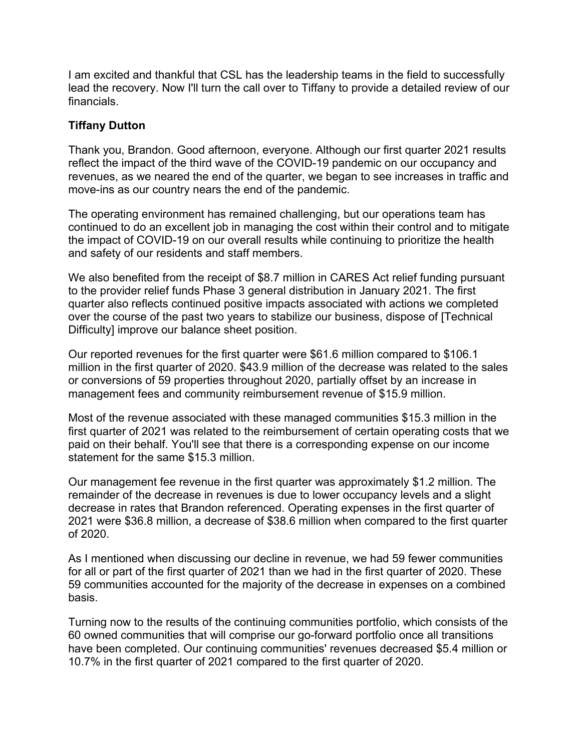I am excited and thankful that CSL has the leadership teams in the field to successfully lead the recovery. Now I'll turn the call over to Tiffany to provide a detailed review of our financials.

## **Tiffany Dutton**

Thank you, Brandon. Good afternoon, everyone. Although our first quarter 2021 results reflect the impact of the third wave of the COVID-19 pandemic on our occupancy and revenues, as we neared the end of the quarter, we began to see increases in traffic and move-ins as our country nears the end of the pandemic.

The operating environment has remained challenging, but our operations team has continued to do an excellent job in managing the cost within their control and to mitigate the impact of COVID-19 on our overall results while continuing to prioritize the health and safety of our residents and staff members.

We also benefited from the receipt of \$8.7 million in CARES Act relief funding pursuant to the provider relief funds Phase 3 general distribution in January 2021. The first quarter also reflects continued positive impacts associated with actions we completed over the course of the past two years to stabilize our business, dispose of [Technical Difficulty] improve our balance sheet position.

Our reported revenues for the first quarter were \$61.6 million compared to \$106.1 million in the first quarter of 2020. \$43.9 million of the decrease was related to the sales or conversions of 59 properties throughout 2020, partially offset by an increase in management fees and community reimbursement revenue of \$15.9 million.

Most of the revenue associated with these managed communities \$15.3 million in the first quarter of 2021 was related to the reimbursement of certain operating costs that we paid on their behalf. You'll see that there is a corresponding expense on our income statement for the same \$15.3 million.

Our management fee revenue in the first quarter was approximately \$1.2 million. The remainder of the decrease in revenues is due to lower occupancy levels and a slight decrease in rates that Brandon referenced. Operating expenses in the first quarter of 2021 were \$36.8 million, a decrease of \$38.6 million when compared to the first quarter of 2020.

As I mentioned when discussing our decline in revenue, we had 59 fewer communities for all or part of the first quarter of 2021 than we had in the first quarter of 2020. These 59 communities accounted for the majority of the decrease in expenses on a combined basis.

Turning now to the results of the continuing communities portfolio, which consists of the 60 owned communities that will comprise our go-forward portfolio once all transitions have been completed. Our continuing communities' revenues decreased \$5.4 million or 10.7% in the first quarter of 2021 compared to the first quarter of 2020.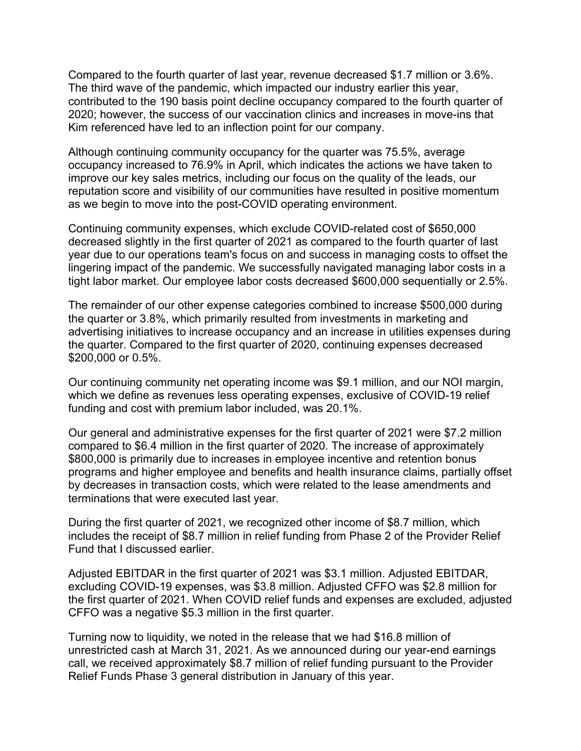Compared to the fourth quarter of last year, revenue decreased \$1.7 million or 3.6%. The third wave of the pandemic, which impacted our industry earlier this year, contributed to the 190 basis point decline occupancy compared to the fourth quarter of 2020; however, the success of our vaccination clinics and increases in move-ins that Kim referenced have led to an inflection point for our company.

Although continuing community occupancy for the quarter was 75.5%, average occupancy increased to 76.9% in April, which indicates the actions we have taken to improve our key sales metrics, including our focus on the quality of the leads, our reputation score and visibility of our communities have resulted in positive momentum as we begin to move into the post-COVID operating environment.

Continuing community expenses, which exclude COVID-related cost of \$650,000 decreased slightly in the first quarter of 2021 as compared to the fourth quarter of last year due to our operations team's focus on and success in managing costs to offset the lingering impact of the pandemic. We successfully navigated managing labor costs in a tight labor market. Our employee labor costs decreased \$600,000 sequentially or 2.5%.

The remainder of our other expense categories combined to increase \$500,000 during the quarter or 3.8%, which primarily resulted from investments in marketing and advertising initiatives to increase occupancy and an increase in utilities expenses during the quarter. Compared to the first quarter of 2020, continuing expenses decreased \$200,000 or 0.5%.

Our continuing community net operating income was \$9.1 million, and our NOI margin, which we define as revenues less operating expenses, exclusive of COVID-19 relief funding and cost with premium labor included, was 20.1%.

Our general and administrative expenses for the first quarter of 2021 were \$7.2 million compared to \$6.4 million in the first quarter of 2020. The increase of approximately \$800,000 is primarily due to increases in employee incentive and retention bonus programs and higher employee and benefits and health insurance claims, partially offset by decreases in transaction costs, which were related to the lease amendments and terminations that were executed last year.

During the first quarter of 2021, we recognized other income of \$8.7 million, which includes the receipt of \$8.7 million in relief funding from Phase 2 of the Provider Relief Fund that I discussed earlier.

Adjusted EBITDAR in the first quarter of 2021 was \$3.1 million. Adjusted EBITDAR, excluding COVID-19 expenses, was \$3.8 million. Adjusted CFFO was \$2.8 million for the first quarter of 2021. When COVID relief funds and expenses are excluded, adjusted CFFO was a negative \$5.3 million in the first quarter.

Turning now to liquidity, we noted in the release that we had \$16.8 million of unrestricted cash at March 31, 2021. As we announced during our year-end earnings call, we received approximately \$8.7 million of relief funding pursuant to the Provider Relief Funds Phase 3 general distribution in January of this year.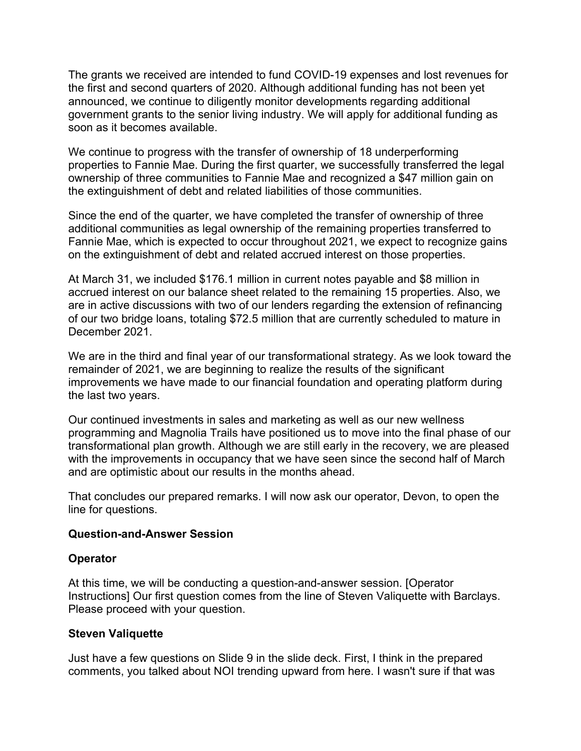The grants we received are intended to fund COVID-19 expenses and lost revenues for the first and second quarters of 2020. Although additional funding has not been yet announced, we continue to diligently monitor developments regarding additional government grants to the senior living industry. We will apply for additional funding as soon as it becomes available.

We continue to progress with the transfer of ownership of 18 underperforming properties to Fannie Mae. During the first quarter, we successfully transferred the legal ownership of three communities to Fannie Mae and recognized a \$47 million gain on the extinguishment of debt and related liabilities of those communities.

Since the end of the quarter, we have completed the transfer of ownership of three additional communities as legal ownership of the remaining properties transferred to Fannie Mae, which is expected to occur throughout 2021, we expect to recognize gains on the extinguishment of debt and related accrued interest on those properties.

At March 31, we included \$176.1 million in current notes payable and \$8 million in accrued interest on our balance sheet related to the remaining 15 properties. Also, we are in active discussions with two of our lenders regarding the extension of refinancing of our two bridge loans, totaling \$72.5 million that are currently scheduled to mature in December 2021.

We are in the third and final year of our transformational strategy. As we look toward the remainder of 2021, we are beginning to realize the results of the significant improvements we have made to our financial foundation and operating platform during the last two years.

Our continued investments in sales and marketing as well as our new wellness programming and Magnolia Trails have positioned us to move into the final phase of our transformational plan growth. Although we are still early in the recovery, we are pleased with the improvements in occupancy that we have seen since the second half of March and are optimistic about our results in the months ahead.

That concludes our prepared remarks. I will now ask our operator, Devon, to open the line for questions.

## **Question-and-Answer Session**

## **Operator**

At this time, we will be conducting a question-and-answer session. [Operator Instructions] Our first question comes from the line of Steven Valiquette with Barclays. Please proceed with your question.

#### **Steven Valiquette**

Just have a few questions on Slide 9 in the slide deck. First, I think in the prepared comments, you talked about NOI trending upward from here. I wasn't sure if that was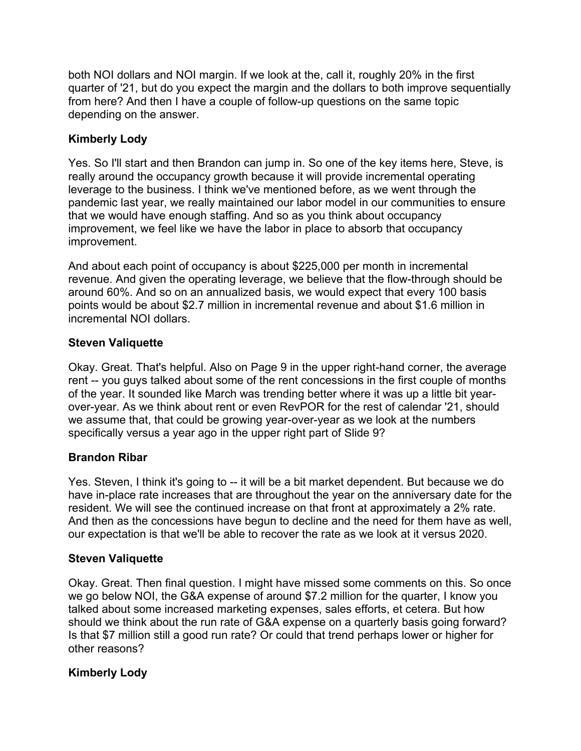both NOI dollars and NOI margin. If we look at the, call it, roughly 20% in the first quarter of '21, but do you expect the margin and the dollars to both improve sequentially from here? And then I have a couple of follow-up questions on the same topic depending on the answer.

# **Kimberly Lody**

Yes. So I'll start and then Brandon can jump in. So one of the key items here, Steve, is really around the occupancy growth because it will provide incremental operating leverage to the business. I think we've mentioned before, as we went through the pandemic last year, we really maintained our labor model in our communities to ensure that we would have enough staffing. And so as you think about occupancy improvement, we feel like we have the labor in place to absorb that occupancy improvement.

And about each point of occupancy is about \$225,000 per month in incremental revenue. And given the operating leverage, we believe that the flow-through should be around 60%. And so on an annualized basis, we would expect that every 100 basis points would be about \$2.7 million in incremental revenue and about \$1.6 million in incremental NOI dollars.

# **Steven Valiquette**

Okay. Great. That's helpful. Also on Page 9 in the upper right-hand corner, the average rent -- you guys talked about some of the rent concessions in the first couple of months of the year. It sounded like March was trending better where it was up a little bit yearover-year. As we think about rent or even RevPOR for the rest of calendar '21, should we assume that, that could be growing year-over-year as we look at the numbers specifically versus a year ago in the upper right part of Slide 9?

# **Brandon Ribar**

Yes. Steven, I think it's going to -- it will be a bit market dependent. But because we do have in-place rate increases that are throughout the year on the anniversary date for the resident. We will see the continued increase on that front at approximately a 2% rate. And then as the concessions have begun to decline and the need for them have as well, our expectation is that we'll be able to recover the rate as we look at it versus 2020.

# **Steven Valiquette**

Okay. Great. Then final question. I might have missed some comments on this. So once we go below NOI, the G&A expense of around \$7.2 million for the quarter, I know you talked about some increased marketing expenses, sales efforts, et cetera. But how should we think about the run rate of G&A expense on a quarterly basis going forward? Is that \$7 million still a good run rate? Or could that trend perhaps lower or higher for other reasons?

# **Kimberly Lody**